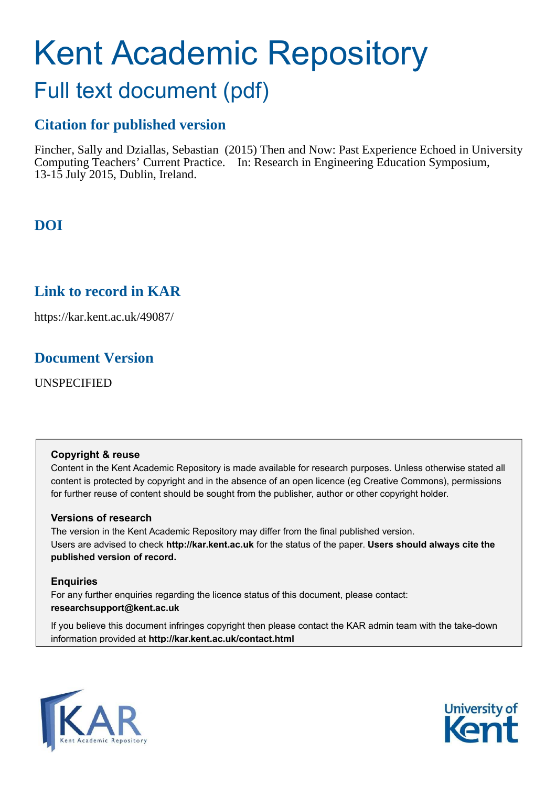# Kent Academic Repository

## Full text document (pdf)

## **Citation for published version**

Fincher, Sally and Dziallas, Sebastian (2015) Then and Now: Past Experience Echoed in University Computing Teachers' Current Practice. In: Research in Engineering Education Symposium, 13-15 July 2015, Dublin, Ireland.

## **DOI**

## **Link to record in KAR**

https://kar.kent.ac.uk/49087/

## **Document Version**

UNSPECIFIED

#### **Copyright & reuse**

Content in the Kent Academic Repository is made available for research purposes. Unless otherwise stated all content is protected by copyright and in the absence of an open licence (eg Creative Commons), permissions for further reuse of content should be sought from the publisher, author or other copyright holder.

#### **Versions of research**

The version in the Kent Academic Repository may differ from the final published version. Users are advised to check **http://kar.kent.ac.uk** for the status of the paper. **Users should always cite the published version of record.**

#### **Enquiries**

For any further enquiries regarding the licence status of this document, please contact: **researchsupport@kent.ac.uk**

If you believe this document infringes copyright then please contact the KAR admin team with the take-down information provided at **http://kar.kent.ac.uk/contact.html**



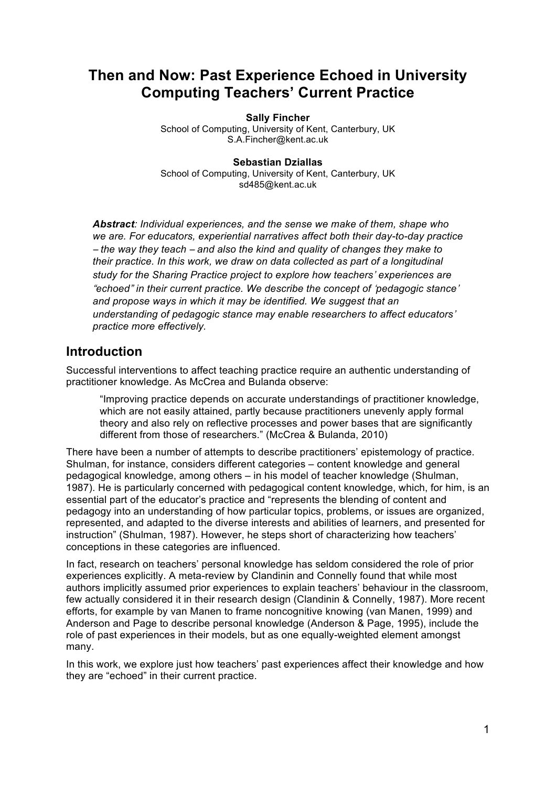## **Then and Now: Past Experience Echoed in University Computing Teachers' Current Practice**

**Sally Fincher**

School of Computing, University of Kent, Canterbury, UK S.A.Fincher@kent.ac.uk

#### **Sebastian Dziallas**

School of Computing, University of Kent, Canterbury, UK sd485@kent.ac.uk

*Abstract: Individual experiences, and the sense we make of them, shape who we are. For educators, experiential narratives affect both their day-to-day practice*  椴 *the way they teach* <sup>椴</sup> *and also the kind and quality of changes they make to their practice. In this work, we draw on data collected as part of a longitudinal study for the Sharing Practice project to explore how teachers*<sup>瀞</sup> *experiences are*  "echoed" in their current practice. We describe the concept of 'pedagogic stance' *and propose ways in which it may be identified. We suggest that an understanding of pedagogic stance may enable researchers to affect educators' practice more effectively.*

### **Introduction**

Successful interventions to affect teaching practice require an authentic understanding of practitioner knowledge. As McCrea and Bulanda observe:

"Improving practice depends on accurate understandings of practitioner knowledge, which are not easily attained, partly because practitioners unevenly apply formal theory and also rely on reflective processes and power bases that are significantly different from those of researchers." (McCrea & Bulanda, 2010)

There have been a number of attempts to describe practitioners' epistemology of practice. Shulman, for instance, considers different categories – content knowledge and general pedagogical knowledge, among others – in his model of teacher knowledge (Shulman, 1987). He is particularly concerned with pedagogical content knowledge, which, for him, is an essential part of the educator's practice and "represents the blending of content and pedagogy into an understanding of how particular topics, problems, or issues are organized, represented, and adapted to the diverse interests and abilities of learners, and presented for instruction" (Shulman, 1987). However, he steps short of characterizing how teachers' conceptions in these categories are influenced.

In fact, research on teachers' personal knowledge has seldom considered the role of prior experiences explicitly. A meta-review by Clandinin and Connelly found that while most authors implicitly assumed prior experiences to explain teachers' behaviour in the classroom, few actually considered it in their research design (Clandinin & Connelly, 1987). More recent efforts, for example by van Manen to frame noncognitive knowing (van Manen, 1999) and Anderson and Page to describe personal knowledge (Anderson & Page, 1995), include the role of past experiences in their models, but as one equally-weighted element amongst many.

In this work, we explore just how teachers' past experiences affect their knowledge and how they are "echoed" in their current practice.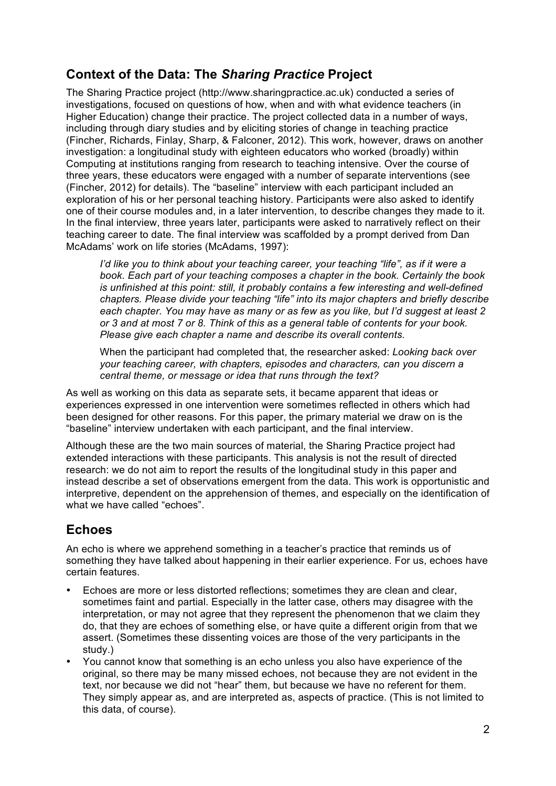## **Context of the Data: The** *Sharing Practice* **Project**

The Sharing Practice project (http://www.sharingpractice.ac.uk) conducted a series of investigations, focused on questions of how, when and with what evidence teachers (in Higher Education) change their practice. The project collected data in a number of ways, including through diary studies and by eliciting stories of change in teaching practice (Fincher, Richards, Finlay, Sharp, & Falconer, 2012). This work, however, draws on another investigation: a longitudinal study with eighteen educators who worked (broadly) within Computing at institutions ranging from research to teaching intensive. Over the course of three years, these educators were engaged with a number of separate interventions (see (Fincher, 2012) for details). The "baseline" interview with each participant included an exploration of his or her personal teaching history. Participants were also asked to identify one of their course modules and, in a later intervention, to describe changes they made to it. In the final interview, three years later, participants were asked to narratively reflect on their teaching career to date. The final interview was scaffolded by a prompt derived from Dan McAdams' work on life stories (McAdams, 1997):

*I'd like you to think about your teaching career, your teaching "life", as if it were a book. Each part of your teaching composes a chapter in the book. Certainly the book is unfinished at this point: still, it probably contains a few interesting and well-defined chapters. Please divide your teaching "life" into its major chapters and briefly describe each chapter. You may have as many or as few as you like, but I'd suggest at least 2 or 3 and at most 7 or 8. Think of this as a general table of contents for your book. Please give each chapter a name and describe its overall contents.*

When the participant had completed that, the researcher asked: *Looking back over your teaching career, with chapters, episodes and characters, can you discern a central theme, or message or idea that runs through the text?*

As well as working on this data as separate sets, it became apparent that ideas or experiences expressed in one intervention were sometimes reflected in others which had been designed for other reasons. For this paper, the primary material we draw on is the "baseline" interview undertaken with each participant, and the final interview.

Although these are the two main sources of material, the Sharing Practice project had extended interactions with these participants. This analysis is not the result of directed research: we do not aim to report the results of the longitudinal study in this paper and instead describe a set of observations emergent from the data. This work is opportunistic and interpretive, dependent on the apprehension of themes, and especially on the identification of what we have called "echoes".

## **Echoes**

An echo is where we apprehend something in a teacher's practice that reminds us of something they have talked about happening in their earlier experience. For us, echoes have certain features.

- Echoes are more or less distorted reflections; sometimes they are clean and clear, sometimes faint and partial. Especially in the latter case, others may disagree with the interpretation, or may not agree that they represent the phenomenon that we claim they do, that they are echoes of something else, or have quite a different origin from that we assert. (Sometimes these dissenting voices are those of the very participants in the study.)
- ¥ You cannot know that something is an echo unless you also have experience of the original, so there may be many missed echoes, not because they are not evident in the text, nor because we did not "hear" them, but because we have no referent for them. They simply appear as, and are interpreted as, aspects of practice. (This is not limited to this data, of course).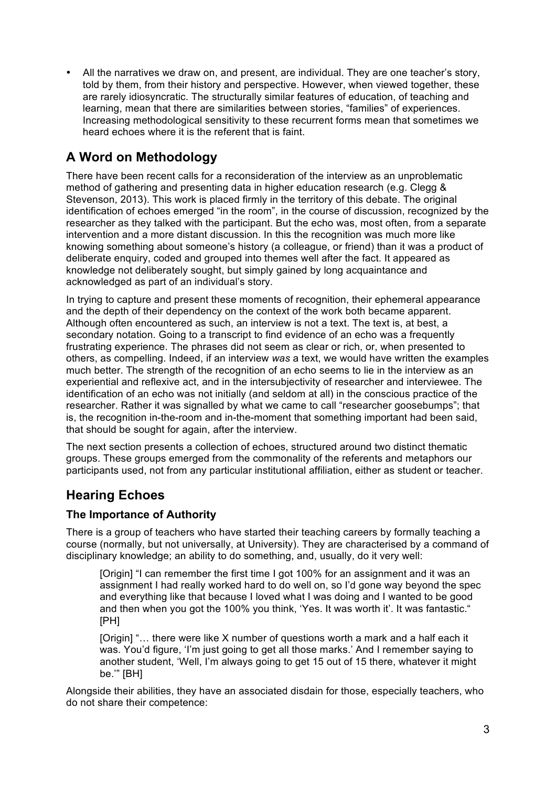All the narratives we draw on, and present, are individual. They are one teacher's story, told by them, from their history and perspective. However, when viewed together, these are rarely idiosyncratic. The structurally similar features of education, of teaching and learning, mean that there are similarities between stories, "families" of experiences. Increasing methodological sensitivity to these recurrent forms mean that sometimes we heard echoes where it is the referent that is faint.

## **A Word on Methodology**

There have been recent calls for a reconsideration of the interview as an unproblematic method of gathering and presenting data in higher education research (e.g. Clegg & Stevenson, 2013). This work is placed firmly in the territory of this debate. The original identification of echoes emerged "in the room", in the course of discussion, recognized by the researcher as they talked with the participant. But the echo was, most often, from a separate intervention and a more distant discussion. In this the recognition was much more like knowing something about someone's history (a colleague, or friend) than it was a product of deliberate enquiry, coded and grouped into themes well after the fact. It appeared as knowledge not deliberately sought, but simply gained by long acquaintance and acknowledged as part of an individual's story.

In trying to capture and present these moments of recognition, their ephemeral appearance and the depth of their dependency on the context of the work both became apparent. Although often encountered as such, an interview is not a text. The text is, at best, a secondary notation. Going to a transcript to find evidence of an echo was a frequently frustrating experience. The phrases did not seem as clear or rich, or, when presented to others, as compelling. Indeed, if an interview *was* a text, we would have written the examples much better. The strength of the recognition of an echo seems to lie in the interview as an experiential and reflexive act, and in the intersubjectivity of researcher and interviewee. The identification of an echo was not initially (and seldom at all) in the conscious practice of the researcher. Rather it was signalled by what we came to call "researcher goosebumps"; that is, the recognition in-the-room and in-the-moment that something important had been said, that should be sought for again, after the interview.

The next section presents a collection of echoes, structured around two distinct thematic groups. These groups emerged from the commonality of the referents and metaphors our participants used, not from any particular institutional affiliation, either as student or teacher.

## **Hearing Echoes**

#### **The Importance of Authority**

There is a group of teachers who have started their teaching careers by formally teaching a course (normally, but not universally, at University). They are characterised by a command of disciplinary knowledge; an ability to do something, and, usually, do it very well:

[Origin] "I can remember the first time I got 100% for an assignment and it was an assignment I had really worked hard to do well on, so I'd gone way beyond the spec and everything like that because I loved what I was doing and I wanted to be good and then when you got the 100% you think, 'Yes. It was worth it'. It was fantastic." [PH]

[Origin] "... there were like X number of questions worth a mark and a half each it was. You'd figure, 'I'm just going to get all those marks.' And I remember saying to another student, 'Well, I'm always going to get 15 out of 15 there, whatever it might be.'" [BH]

Alongside their abilities, they have an associated disdain for those, especially teachers, who do not share their competence: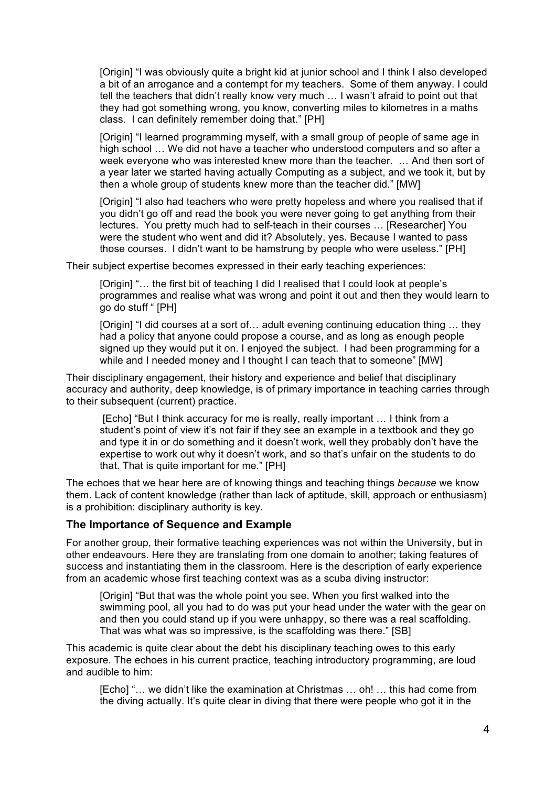[Origin] "I was obviously quite a bright kid at junior school and I think I also developed a bit of an arrogance and a contempt for my teachers. Some of them anyway. I could tell the teachers that didn't really know very much … I wasn't afraid to point out that they had got something wrong, you know, converting miles to kilometres in a maths class. I can definitely remember doing that." [PH]

[Origin] "I learned programming myself, with a small group of people of same age in high school … We did not have a teacher who understood computers and so after a week everyone who was interested knew more than the teacher. … And then sort of a year later we started having actually Computing as a subject, and we took it, but by then a whole group of students knew more than the teacher did." [MW]

[Origin] "I also had teachers who were pretty hopeless and where you realised that if you didn't go off and read the book you were never going to get anything from their lectures. You pretty much had to self-teach in their courses … [Researcher] You were the student who went and did it? Absolutely, yes. Because I wanted to pass those courses. I didn't want to be hamstrung by people who were useless." [PH]

Their subject expertise becomes expressed in their early teaching experiences:

[Origin] "... the first bit of teaching I did I realised that I could look at people's programmes and realise what was wrong and point it out and then they would learn to go do stuff " [PH]

[Origin] "I did courses at a sort of... adult evening continuing education thing ... they had a policy that anyone could propose a course, and as long as enough people signed up they would put it on. I enjoyed the subject. I had been programming for a while and I needed money and I thought I can teach that to someone" [MW]

Their disciplinary engagement, their history and experience and belief that disciplinary accuracy and authority, deep knowledge, is of primary importance in teaching carries through to their subsequent (current) practice.

[Echo] "But I think accuracy for me is really, really important … I think from a student's point of view it's not fair if they see an example in a textbook and they go and type it in or do something and it doesn't work, well they probably don't have the expertise to work out why it doesn't work, and so that's unfair on the students to do that. That is quite important for me." [PH]

The echoes that we hear here are of knowing things and teaching things *because* we know them. Lack of content knowledge (rather than lack of aptitude, skill, approach or enthusiasm) is a prohibition: disciplinary authority is key.

#### **The Importance of Sequence and Example**

For another group, their formative teaching experiences was not within the University, but in other endeavours. Here they are translating from one domain to another; taking features of success and instantiating them in the classroom. Here is the description of early experience from an academic whose first teaching context was as a scuba diving instructor:

[Origin] "But that was the whole point you see. When you first walked into the swimming pool, all you had to do was put your head under the water with the gear on and then you could stand up if you were unhappy, so there was a real scaffolding. That was what was so impressive, is the scaffolding was there." [SB]

This academic is quite clear about the debt his disciplinary teaching owes to this early exposure. The echoes in his current practice, teaching introductory programming, are loud and audible to him:

[Echo] "… we didn't like the examination at Christmas … oh! … this had come from the diving actually. It's quite clear in diving that there were people who got it in the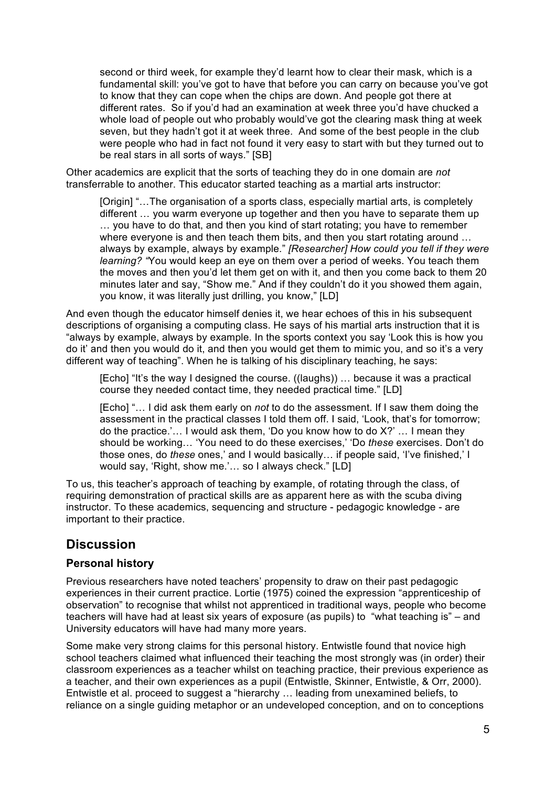second or third week, for example they'd learnt how to clear their mask, which is a fundamental skill: you've got to have that before you can carry on because you've got to know that they can cope when the chips are down. And people got there at different rates. So if you'd had an examination at week three you'd have chucked a whole load of people out who probably would've got the clearing mask thing at week seven, but they hadn't got it at week three. And some of the best people in the club were people who had in fact not found it very easy to start with but they turned out to be real stars in all sorts of ways." [SB]

Other academics are explicit that the sorts of teaching they do in one domain are *not* transferrable to another. This educator started teaching as a martial arts instructor:

[Origin] "... The organisation of a sports class, especially martial arts, is completely different … you warm everyone up together and then you have to separate them up … you have to do that, and then you kind of start rotating; you have to remember where everyone is and then teach them bits, and then you start rotating around ... always by example, always by example." *[Researcher] How could you tell if they were learning? "*You would keep an eye on them over a period of weeks. You teach them the moves and then you'd let them get on with it, and then you come back to them 20 minutes later and say, "Show me." And if they couldn't do it you showed them again, you know, it was literally just drilling, you know," [LD]

And even though the educator himself denies it, we hear echoes of this in his subsequent descriptions of organising a computing class. He says of his martial arts instruction that it is "always by example, always by example. In the sports context you say 'Look this is how you do it' and then you would do it, and then you would get them to mimic you, and so it's a very different way of teaching". When he is talking of his disciplinary teaching, he says:

[Echo] "It's the way I designed the course. ((laughs)) … because it was a practical course they needed contact time, they needed practical time." [LD]

[Echo] "… I did ask them early on *not* to do the assessment. If I saw them doing the assessment in the practical classes I told them off. I said, 'Look, that's for tomorrow; do the practice.'… I would ask them, 'Do you know how to do X?' … I mean they should be working… 'You need to do these exercises,' 'Do *these* exercises. Don't do those ones, do *these* ones,' and I would basically… if people said, 'I've finished,' I would say, 'Right, show me.'… so I always check." [LD]

To us, this teacher's approach of teaching by example, of rotating through the class, of requiring demonstration of practical skills are as apparent here as with the scuba diving instructor. To these academics, sequencing and structure - pedagogic knowledge - are important to their practice.

## **Discussion**

#### **Personal history**

Previous researchers have noted teachers' propensity to draw on their past pedagogic experiences in their current practice. Lortie (1975) coined the expression "apprenticeship of observation" to recognise that whilst not apprenticed in traditional ways, people who become teachers will have had at least six years of exposure (as pupils) to "what teaching is" – and University educators will have had many more years.

Some make very strong claims for this personal history. Entwistle found that novice high school teachers claimed what influenced their teaching the most strongly was (in order) their classroom experiences as a teacher whilst on teaching practice, their previous experience as a teacher, and their own experiences as a pupil (Entwistle, Skinner, Entwistle, & Orr, 2000). Entwistle et al. proceed to suggest a "hierarchy … leading from unexamined beliefs, to reliance on a single guiding metaphor or an undeveloped conception, and on to conceptions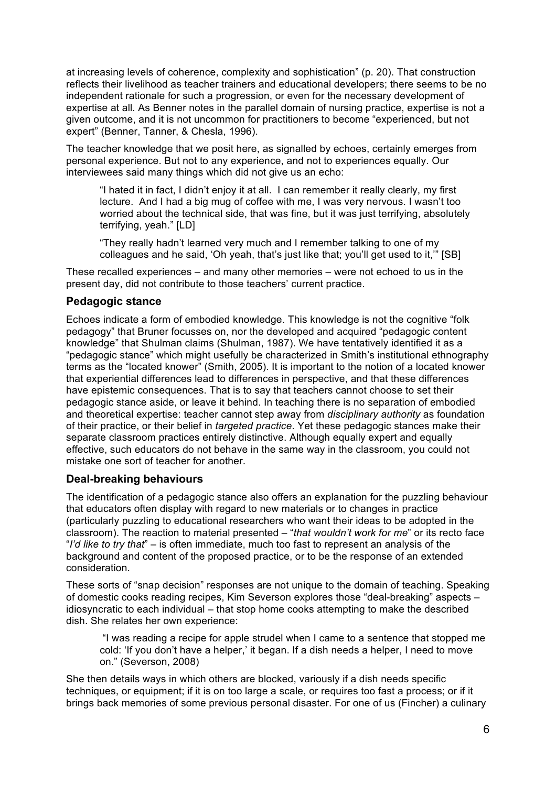at increasing levels of coherence, complexity and sophistication" (p. 20). That construction reflects their livelihood as teacher trainers and educational developers; there seems to be no independent rationale for such a progression, or even for the necessary development of expertise at all. As Benner notes in the parallel domain of nursing practice, expertise is not a given outcome, and it is not uncommon for practitioners to become "experienced, but not expert" (Benner, Tanner, & Chesla, 1996).

The teacher knowledge that we posit here, as signalled by echoes, certainly emerges from personal experience. But not to any experience, and not to experiences equally. Our interviewees said many things which did not give us an echo:

"I hated it in fact, I didn't enjoy it at all. I can remember it really clearly, my first lecture. And I had a big mug of coffee with me, I was very nervous. I wasn't too worried about the technical side, that was fine, but it was just terrifying, absolutely terrifying, yeah." [LD]

"They really hadn't learned very much and I remember talking to one of my colleagues and he said, 'Oh yeah, that's just like that; you'll get used to it,'" [SB]

These recalled experiences – and many other memories – were not echoed to us in the present day, did not contribute to those teachers' current practice.

#### **Pedagogic stance**

Echoes indicate a form of embodied knowledge. This knowledge is not the cognitive "folk pedagogy" that Bruner focusses on, nor the developed and acquired "pedagogic content knowledge" that Shulman claims (Shulman, 1987). We have tentatively identified it as a "pedagogic stance" which might usefully be characterized in Smith's institutional ethnography terms as the "located knower" (Smith, 2005). It is important to the notion of a located knower that experiential differences lead to differences in perspective, and that these differences have epistemic consequences. That is to say that teachers cannot choose to set their pedagogic stance aside, or leave it behind. In teaching there is no separation of embodied and theoretical expertise: teacher cannot step away from *disciplinary authority* as foundation of their practice, or their belief in *targeted practice*. Yet these pedagogic stances make their separate classroom practices entirely distinctive. Although equally expert and equally effective, such educators do not behave in the same way in the classroom, you could not mistake one sort of teacher for another.

#### **Deal-breaking behaviours**

The identification of a pedagogic stance also offers an explanation for the puzzling behaviour that educators often display with regard to new materials or to changes in practice (particularly puzzling to educational researchers who want their ideas to be adopted in the classroom). The reaction to material presented – "*that wouldn't work for me*" or its recto face "*I'd like to try that*" – is often immediate, much too fast to represent an analysis of the background and content of the proposed practice, or to be the response of an extended consideration.

These sorts of "snap decision" responses are not unique to the domain of teaching. Speaking of domestic cooks reading recipes, Kim Severson explores those "deal-breaking" aspects – idiosyncratic to each individual – that stop home cooks attempting to make the described dish. She relates her own experience:

"I was reading a recipe for apple strudel when I came to a sentence that stopped me cold: 'If you don't have a helper,' it began. If a dish needs a helper, I need to move on." (Severson, 2008)

She then details ways in which others are blocked, variously if a dish needs specific techniques, or equipment; if it is on too large a scale, or requires too fast a process; or if it brings back memories of some previous personal disaster. For one of us (Fincher) a culinary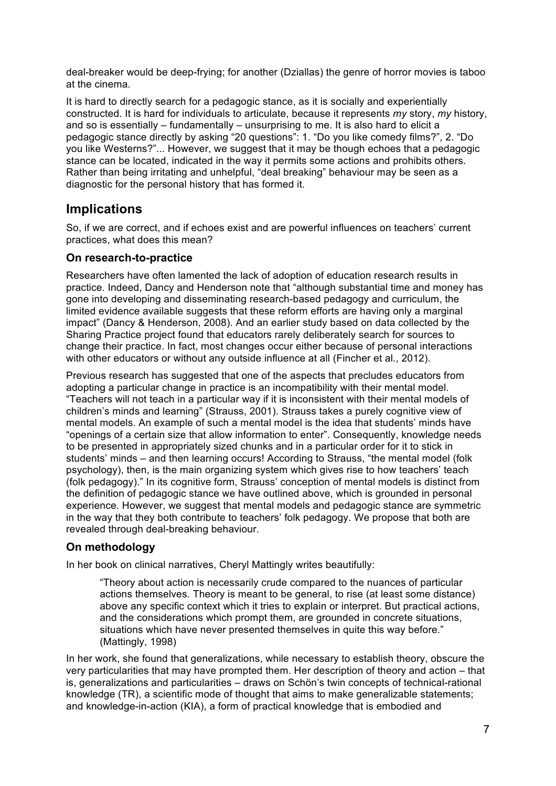deal-breaker would be deep-frying; for another (Dziallas) the genre of horror movies is taboo at the cinema.

It is hard to directly search for a pedagogic stance, as it is socially and experientially constructed. It is hard for individuals to articulate, because it represents *my* story, *my* history, and so is essentially – fundamentally – unsurprising to me. It is also hard to elicit a pedagogic stance directly by asking "20 questions": 1. "Do you like comedy films?", 2. "Do you like Westerns?"... However, we suggest that it may be though echoes that a pedagogic stance can be located, indicated in the way it permits some actions and prohibits others. Rather than being irritating and unhelpful, "deal breaking" behaviour may be seen as a diagnostic for the personal history that has formed it.

## **Implications**

So, if we are correct, and if echoes exist and are powerful influences on teachers' current practices, what does this mean?

#### **On research-to-practice**

Researchers have often lamented the lack of adoption of education research results in practice. Indeed, Dancy and Henderson note that "although substantial time and money has gone into developing and disseminating research-based pedagogy and curriculum, the limited evidence available suggests that these reform efforts are having only a marginal impact" (Dancy & Henderson, 2008). And an earlier study based on data collected by the Sharing Practice project found that educators rarely deliberately search for sources to change their practice. In fact, most changes occur either because of personal interactions with other educators or without any outside influence at all (Fincher et al., 2012).

Previous research has suggested that one of the aspects that precludes educators from adopting a particular change in practice is an incompatibility with their mental model. "Teachers will not teach in a particular way if it is inconsistent with their mental models of children's minds and learning" (Strauss, 2001). Strauss takes a purely cognitive view of mental models. An example of such a mental model is the idea that students' minds have "openings of a certain size that allow information to enter". Consequently, knowledge needs to be presented in appropriately sized chunks and in a particular order for it to stick in students' minds – and then learning occurs! According to Strauss, "the mental model (folk psychology), then, is the main organizing system which gives rise to how teachers' teach (folk pedagogy)." In its cognitive form, Strauss' conception of mental models is distinct from the definition of pedagogic stance we have outlined above, which is grounded in personal experience. However, we suggest that mental models and pedagogic stance are symmetric in the way that they both contribute to teachers' folk pedagogy. We propose that both are revealed through deal-breaking behaviour.

#### **On methodology**

In her book on clinical narratives, Cheryl Mattingly writes beautifully:

"Theory about action is necessarily crude compared to the nuances of particular actions themselves. Theory is meant to be general, to rise (at least some distance) above any specific context which it tries to explain or interpret. But practical actions, and the considerations which prompt them, are grounded in concrete situations, situations which have never presented themselves in quite this way before." (Mattingly, 1998)

In her work, she found that generalizations, while necessary to establish theory, obscure the very particularities that may have prompted them. Her description of theory and action – that is, generalizations and particularities – draws on Schön's twin concepts of technical-rational knowledge (TR), a scientific mode of thought that aims to make generalizable statements; and knowledge-in-action (KIA), a form of practical knowledge that is embodied and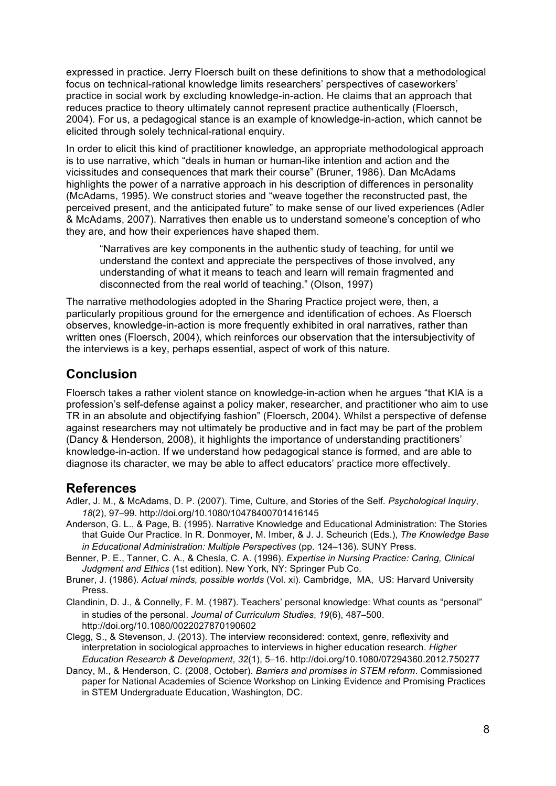expressed in practice. Jerry Floersch built on these definitions to show that a methodological focus on technical-rational knowledge limits researchers' perspectives of caseworkers' practice in social work by excluding knowledge-in-action. He claims that an approach that reduces practice to theory ultimately cannot represent practice authentically (Floersch, 2004). For us, a pedagogical stance is an example of knowledge-in-action, which cannot be elicited through solely technical-rational enquiry.

In order to elicit this kind of practitioner knowledge, an appropriate methodological approach is to use narrative, which "deals in human or human-like intention and action and the vicissitudes and consequences that mark their course" (Bruner, 1986). Dan McAdams highlights the power of a narrative approach in his description of differences in personality (McAdams, 1995). We construct stories and "weave together the reconstructed past, the perceived present, and the anticipated future" to make sense of our lived experiences (Adler & McAdams, 2007). Narratives then enable us to understand someone's conception of who they are, and how their experiences have shaped them.

"Narratives are key components in the authentic study of teaching, for until we understand the context and appreciate the perspectives of those involved, any understanding of what it means to teach and learn will remain fragmented and disconnected from the real world of teaching." (Olson, 1997)

The narrative methodologies adopted in the Sharing Practice project were, then, a particularly propitious ground for the emergence and identification of echoes. As Floersch observes, knowledge-in-action is more frequently exhibited in oral narratives, rather than written ones (Floersch, 2004), which reinforces our observation that the intersubjectivity of the interviews is a key, perhaps essential, aspect of work of this nature.

## **Conclusion**

Floersch takes a rather violent stance on knowledge-in-action when he argues "that KIA is a profession's self-defense against a policy maker, researcher, and practitioner who aim to use TR in an absolute and objectifying fashion" (Floersch, 2004). Whilst a perspective of defense against researchers may not ultimately be productive and in fact may be part of the problem (Dancy & Henderson, 2008), it highlights the importance of understanding practitioners' knowledge-in-action. If we understand how pedagogical stance is formed, and are able to diagnose its character, we may be able to affect educators' practice more effectively.

#### **References**

- Adler, J. M., & McAdams, D. P. (2007). Time, Culture, and Stories of the Self. *Psychological Inquiry*, 18(2), 97-99. http://doi.org/10.1080/10478400701416145
- Anderson, G. L., & Page, B. (1995). Narrative Knowledge and Educational Administration: The Stories that Guide Our Practice. In R. Donmoyer, M. Imber, & J. J. Scheurich (Eds.), *The Knowledge Base in Educational Administration: Multiple Perspectives* (pp. 124–136). SUNY Press.

Benner, P. E., Tanner, C. A., & Chesla, C. A. (1996). *Expertise in Nursing Practice: Caring, Clinical Judgment and Ethics* (1st edition). New York, NY: Springer Pub Co.

Bruner, J. (1986). *Actual minds, possible worlds* (Vol. xi). Cambridge, MA, US: Harvard University Press.

Clandinin, D. J., & Connelly, F. M. (1987). Teachers' personal knowledge: What counts as "personal" in studies of the personal. *Journal of Curriculum Studies*, 19(6), 487-500. http://doi.org/10.1080/0022027870190602

Clegg, S., & Stevenson, J. (2013). The interview reconsidered: context, genre, reflexivity and interpretation in sociological approaches to interviews in higher education research. *Higher Education Research & Development, 32(1), 5-16. http://doi.org/10.1080/07294360.2012.750277* 

Dancy, M., & Henderson, C. (2008, October). *Barriers and promises in STEM reform*. Commissioned paper for National Academies of Science Workshop on Linking Evidence and Promising Practices in STEM Undergraduate Education, Washington, DC.